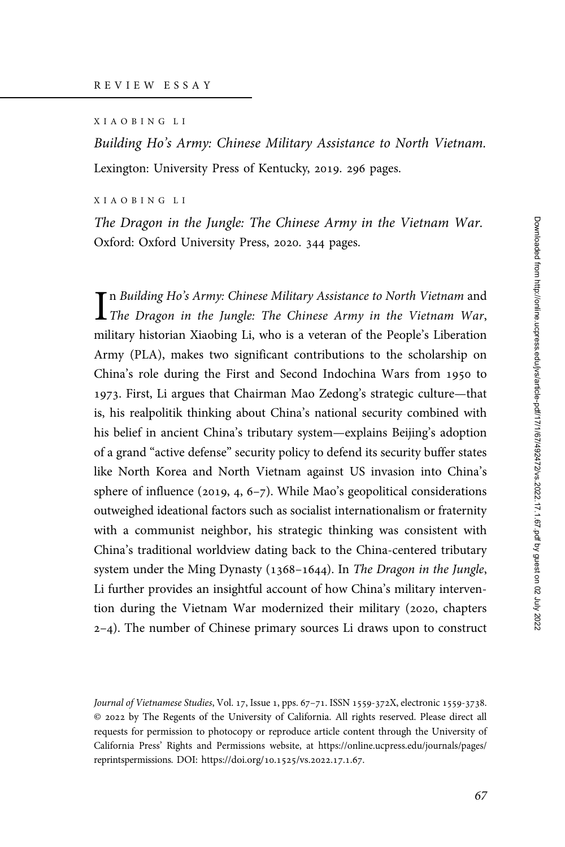XIAOBING LI

Building Ho's Army: Chinese Military Assistance to North Vietnam. Lexington: University Press of Kentucky, 2019. 296 pages.

XIAOBING LI

The Dragon in the Jungle: The Chinese Army in the Vietnam War. Oxford: Oxford University Press, 2020. 344 pages.

In Building Ho's Army: Chinese Military Assistance to North Vietnam and The Dragon in the Jungle: The Chinese Army in the Vietnam War, n Building Ho's Army: Chinese Military Assistance to North Vietnam and military historian Xiaobing Li, who is a veteran of the People's Liberation Army (PLA), makes two significant contributions to the scholarship on China's role during the First and Second Indochina Wars from 1950 to . First, Li argues that Chairman Mao Zedong's strategic culture—that is, his realpolitik thinking about China's national security combined with his belief in ancient China's tributary system—explains Beijing's adoption of a grand "active defense" security policy to defend its security buffer states like North Korea and North Vietnam against US invasion into China's sphere of influence (2019, 4, 6-7). While Mao's geopolitical considerations outweighed ideational factors such as socialist internationalism or fraternity with a communist neighbor, his strategic thinking was consistent with China's traditional worldview dating back to the China-centered tributary system under the Ming Dynasty  $(1368-1644)$ . In The Dragon in the Jungle, Li further provides an insightful account of how China's military intervention during the Vietnam War modernized their military (2020, chapters –). The number of Chinese primary sources Li draws upon to construct

Journal of Vietnamese Studies, Vol. 17, Issue 1, pps. 67-71. ISSN 1559-372X, electronic 1559-3738. © by The Regents of the University of California. All rights reserved. Please direct all requests for permission to photocopy or reproduce article content through the University of California Press' Rights and Permissions website, at [https://online.ucpress.edu/journals/pages/](https://online.ucpress.edu/journals/pages/reprintspermissions) [reprintspermissions.](https://online.ucpress.edu/journals/pages/reprintspermissions) [DOI: https://doi.org/](https://doi.org/10.1525/vs.2022.17.1.67)10.1525/vs.2022.17.1.67.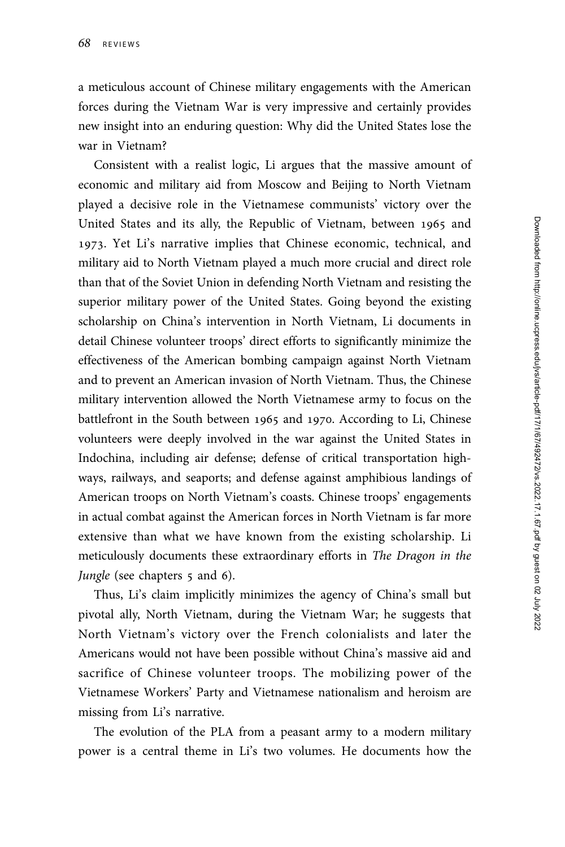a meticulous account of Chinese military engagements with the American forces during the Vietnam War is very impressive and certainly provides new insight into an enduring question: Why did the United States lose the war in Vietnam?

Consistent with a realist logic, Li argues that the massive amount of economic and military aid from Moscow and Beijing to North Vietnam played a decisive role in the Vietnamese communists' victory over the United States and its ally, the Republic of Vietnam, between 1965 and 1973. Yet Li's narrative implies that Chinese economic, technical, and military aid to North Vietnam played a much more crucial and direct role than that of the Soviet Union in defending North Vietnam and resisting the superior military power of the United States. Going beyond the existing scholarship on China's intervention in North Vietnam, Li documents in detail Chinese volunteer troops' direct efforts to significantly minimize the effectiveness of the American bombing campaign against North Vietnam and to prevent an American invasion of North Vietnam. Thus, the Chinese military intervention allowed the North Vietnamese army to focus on the battlefront in the South between 1965 and 1970. According to Li, Chinese volunteers were deeply involved in the war against the United States in Indochina, including air defense; defense of critical transportation highways, railways, and seaports; and defense against amphibious landings of American troops on North Vietnam's coasts. Chinese troops' engagements in actual combat against the American forces in North Vietnam is far more extensive than what we have known from the existing scholarship. Li meticulously documents these extraordinary efforts in The Dragon in the Jungle (see chapters 5 and 6).

Thus, Li's claim implicitly minimizes the agency of China's small but pivotal ally, North Vietnam, during the Vietnam War; he suggests that North Vietnam's victory over the French colonialists and later the Americans would not have been possible without China's massive aid and sacrifice of Chinese volunteer troops. The mobilizing power of the Vietnamese Workers' Party and Vietnamese nationalism and heroism are missing from Li's narrative.

The evolution of the PLA from a peasant army to a modern military power is a central theme in Li's two volumes. He documents how the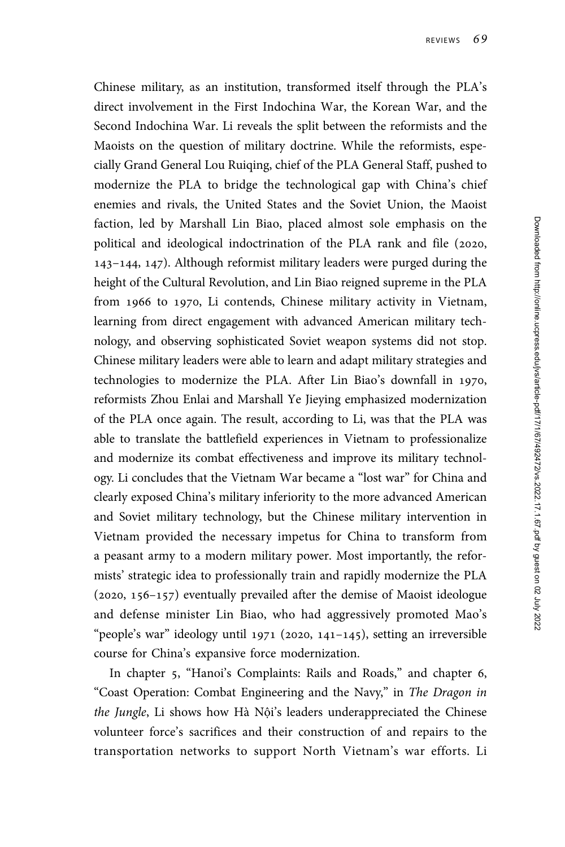Chinese military, as an institution, transformed itself through the PLA's direct involvement in the First Indochina War, the Korean War, and the Second Indochina War. Li reveals the split between the reformists and the Maoists on the question of military doctrine. While the reformists, especially Grand General Lou Ruiqing, chief of the PLA General Staff, pushed to modernize the PLA to bridge the technological gap with China's chief enemies and rivals, the United States and the Soviet Union, the Maoist faction, led by Marshall Lin Biao, placed almost sole emphasis on the political and ideological indoctrination of the PLA rank and file (2020,  $143-144$ ,  $147$ ). Although reformist military leaders were purged during the height of the Cultural Revolution, and Lin Biao reigned supreme in the PLA from 1966 to 1970, Li contends, Chinese military activity in Vietnam, learning from direct engagement with advanced American military technology, and observing sophisticated Soviet weapon systems did not stop. Chinese military leaders were able to learn and adapt military strategies and technologies to modernize the PLA. After Lin Biao's downfall in 1970, reformists Zhou Enlai and Marshall Ye Jieying emphasized modernization of the PLA once again. The result, according to Li, was that the PLA was able to translate the battlefield experiences in Vietnam to professionalize and modernize its combat effectiveness and improve its military technology. Li concludes that the Vietnam War became a "lost war" for China and clearly exposed China's military inferiority to the more advanced American and Soviet military technology, but the Chinese military intervention in Vietnam provided the necessary impetus for China to transform from a peasant army to a modern military power. Most importantly, the reformists' strategic idea to professionally train and rapidly modernize the PLA  $(2020, 156-157)$  eventually prevailed after the demise of Maoist ideologue and defense minister Lin Biao, who had aggressively promoted Mao's "people's war" ideology until  $1971$  (2020,  $141-145$ ), setting an irreversible course for China's expansive force modernization.

In chapter 5, "Hanoi's Complaints: Rails and Roads," and chapter 6, "Coast Operation: Combat Engineering and the Navy," in The Dragon in the Jungle, Li shows how Hà Nội's leaders underappreciated the Chinese volunteer force's sacrifices and their construction of and repairs to the transportation networks to support North Vietnam's war efforts. Li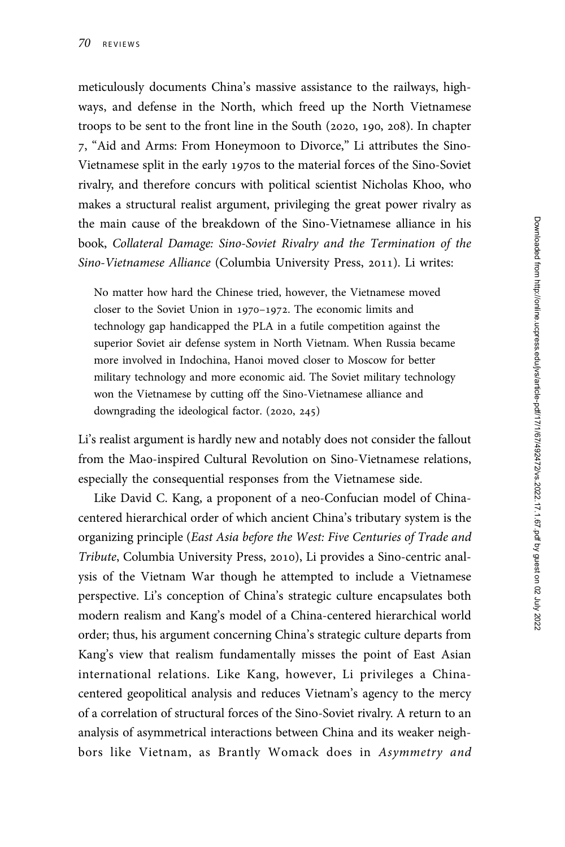meticulously documents China's massive assistance to the railways, highways, and defense in the North, which freed up the North Vietnamese troops to be sent to the front line in the South  $(2020, 190, 208)$ . In chapter , "Aid and Arms: From Honeymoon to Divorce," Li attributes the Sino-Vietnamese split in the early 1970s to the material forces of the Sino-Soviet rivalry, and therefore concurs with political scientist Nicholas Khoo, who makes a structural realist argument, privileging the great power rivalry as the main cause of the breakdown of the Sino-Vietnamese alliance in his book, Collateral Damage: Sino-Soviet Rivalry and the Termination of the Sino-Vietnamese Alliance (Columbia University Press, 2011). Li writes:

No matter how hard the Chinese tried, however, the Vietnamese moved closer to the Soviet Union in  $1970-1972$ . The economic limits and technology gap handicapped the PLA in a futile competition against the superior Soviet air defense system in North Vietnam. When Russia became more involved in Indochina, Hanoi moved closer to Moscow for better military technology and more economic aid. The Soviet military technology won the Vietnamese by cutting off the Sino-Vietnamese alliance and downgrading the ideological factor.  $(2020, 245)$ 

Li's realist argument is hardly new and notably does not consider the fallout from the Mao-inspired Cultural Revolution on Sino-Vietnamese relations, especially the consequential responses from the Vietnamese side.

Like David C. Kang, a proponent of a neo-Confucian model of Chinacentered hierarchical order of which ancient China's tributary system is the organizing principle (East Asia before the West: Five Centuries of Trade and Tribute, Columbia University Press, 2010), Li provides a Sino-centric analysis of the Vietnam War though he attempted to include a Vietnamese perspective. Li's conception of China's strategic culture encapsulates both modern realism and Kang's model of a China-centered hierarchical world order; thus, his argument concerning China's strategic culture departs from Kang's view that realism fundamentally misses the point of East Asian international relations. Like Kang, however, Li privileges a Chinacentered geopolitical analysis and reduces Vietnam's agency to the mercy of a correlation of structural forces of the Sino-Soviet rivalry. A return to an analysis of asymmetrical interactions between China and its weaker neighbors like Vietnam, as Brantly Womack does in Asymmetry and